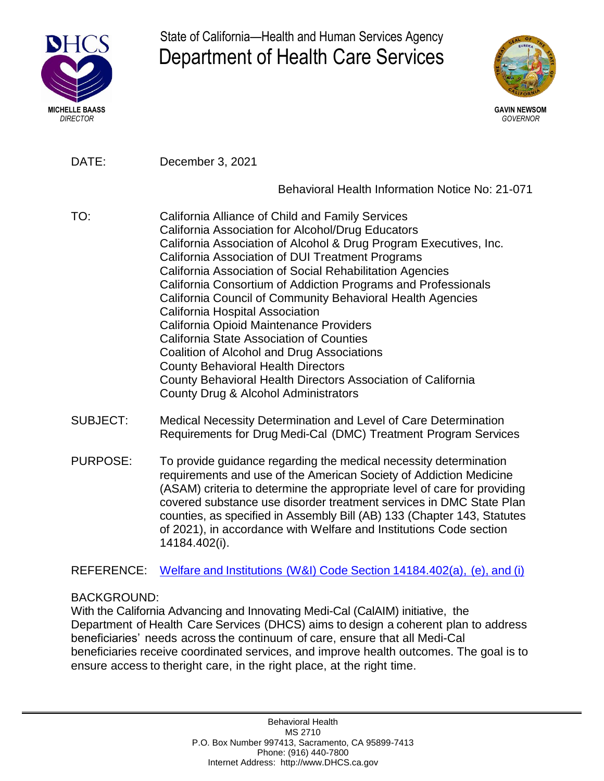

State of California—Health and Human Services Agency Department of Health Care Services



DATE: December 3, 2021

Behavioral Health Information Notice No: 21-071

- TO: California Alliance of Child and Family Services California Association for Alcohol/Drug Educators California Association of Alcohol & Drug Program Executives, Inc. California Association of DUI Treatment Programs California Association of Social Rehabilitation Agencies California Consortium of Addiction Programs and Professionals California Council of Community Behavioral Health Agencies California Hospital Association California Opioid Maintenance Providers California State Association of Counties Coalition of Alcohol and Drug Associations County Behavioral Health Directors County Behavioral Health Directors Association of California County Drug & Alcohol Administrators
- SUBJECT: Medical Necessity Determination and Level of Care Determination Requirements for Drug Medi-Cal (DMC) Treatment Program Services
- PURPOSE: To provide guidance regarding the medical necessity determination requirements and use of the American Society of Addiction Medicine (ASAM) criteria to determine the appropriate level of care for providing covered substance use disorder treatment services in DMC State Plan counties, as specified in Assembly Bill (AB) 133 (Chapter 143, Statutes of 2021), in accordance with Welfare and Institutions Code section 14184.402(i).

REFERENCE: Welfare and Institutions (W&I) Code Section [14184.402\(a\),](https://casetext.com/statute/california-codes/california-welfare-and-institutions-code/division-9-public-social-services/part-3-aid-and-medical-assistance/chapter-7-basic-health-care/article-551-california-advancing-and-innovating-medi-cal-act/section-14184402-medically-necessary-determinations-for-covered-specialty-mental-health-services-and-substance-use-disorder-services-nonspecialty-mental-health-services-coverage) (e), and (i)

# BACKGROUND:

With the California Advancing and Innovating Medi-Cal (CalAIM) initiative, the Department of Health Care Services (DHCS) aims to design a coherent plan to address beneficiaries' needs across the continuum of care, ensure that all Medi-Cal beneficiaries receive coordinated services, and improve health outcomes. The goal is to ensure access to theright care, in the right place, at the right time.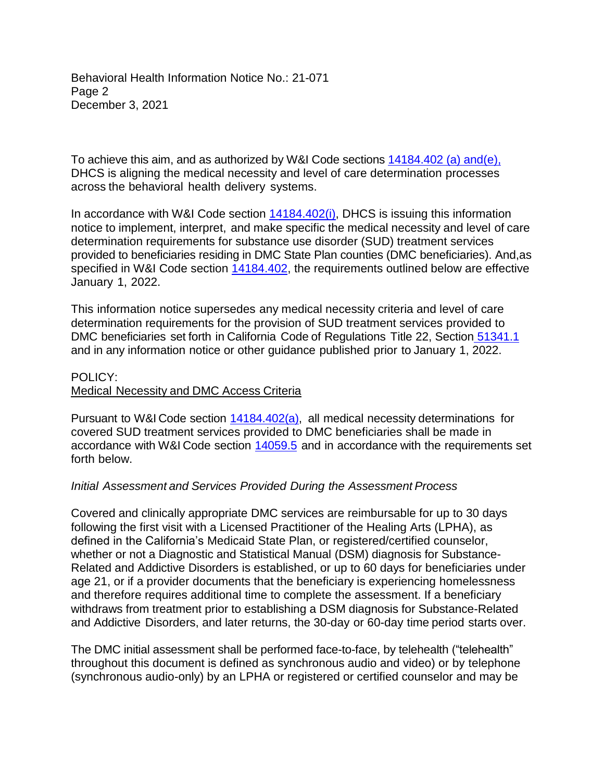Behavioral Health Information Notice No.: 21-071 Page 2 December 3, 2021

To achieve this aim, and as authorized by W&I Code sections  $14184.402$  (a) and(e), DHCS is aligning the medical necessity and level of care determination processes across the behavioral health delivery systems.

In accordance with W&I Code section  $14184.402(i)$  $14184.402(i)$ , DHCS is issuing this information notice to implement, interpret, and make specific the medical necessity and level of care determination requirements for substance use disorder (SUD) treatment services provided to beneficiaries residing in DMC State Plan counties (DMC beneficiaries). And,as specified in W&I Code section [14184.402,](https://casetext.com/statute/california-codes/california-welfare-and-institutions-code/division-9-public-social-services/part-3-aid-and-medical-assistance/chapter-7-basic-health-care/article-551-california-advancing-and-innovating-medi-cal-act/section-14184402-medically-necessary-determinations-for-covered-specialty-mental-health-services-and-substance-use-disorder-services-nonspecialty-mental-health-services-coverage) the requirements outlined below are effective January 1, 2022.

This information notice supersedes any medical necessity criteria and level of care determination requirements for the provision of SUD treatment services provided to DMC beneficiaries set forth in California Code of Regulations Title 22, Section [51341.1](https://govt.westlaw.com/calregs/Document/I12C91B008DA411E4A0F094BBA3CAFB62?originationContext=Search+Result&listSource=Search&viewType=FullText&navigationPath=Search/v3/search/results/navigation/i0ad60024000001571016ac9a9f2e10b2?startIndex%3d1%26Nav%3dREGULATION_PUBLICVIEW%26contextData%3d%28sc.Default%29&rank=1&list=REGULATION_PUBLICVIEW&transitionType=SearchItem&contextData=%28sc.Search%29&t_T1=22&t_T2=51341.1&t_S1=CA+ADC+s) and in any information notice or other guidance published prior to January 1, 2022.

### POLICY: Medical Necessity and DMC Access Criteria

Pursuant to W&I Code section [14184.402\(a\),](https://casetext.com/statute/california-codes/california-welfare-and-institutions-code/division-9-public-social-services/part-3-aid-and-medical-assistance/chapter-7-basic-health-care/article-551-california-advancing-and-innovating-medi-cal-act/section-14184402-medically-necessary-determinations-for-covered-specialty-mental-health-services-and-substance-use-disorder-services-nonspecialty-mental-health-services-coverage) all medical necessity determinations for covered SUD treatment services provided to DMC beneficiaries shall be made in accordance with W&I Code section [14059.5](https://casetext.com/statute/california-codes/california-welfare-and-institutions-code/division-9-public-social-services/part-3-aid-and-medical-assistance/chapter-7-basic-health-care/article-2-definitions/section-140595-medically-necessary-or-medical-necessity?PHONE_NUMBER_GROUP=P&sort=relevance&type=case&resultsNav=false&tab=keyword) and in accordance with the requirements set forth below.

## *Initial Assessment and Services Provided During the Assessment Process*

Covered and clinically appropriate DMC services are reimbursable for up to 30 days following the first visit with a Licensed Practitioner of the Healing Arts (LPHA), as defined in the California's Medicaid State Plan, or registered/certified counselor, whether or not a Diagnostic and Statistical Manual (DSM) diagnosis for Substance-Related and Addictive Disorders is established, or up to 60 days for beneficiaries under age 21, or if a provider documents that the beneficiary is experiencing homelessness and therefore requires additional time to complete the assessment. If a beneficiary withdraws from treatment prior to establishing a DSM diagnosis for Substance-Related and Addictive Disorders, and later returns, the 30-day or 60-day time period starts over.

The DMC initial assessment shall be performed face-to-face, by telehealth ("telehealth" throughout this document is defined as synchronous audio and video) or by telephone (synchronous audio-only) by an LPHA or registered or certified counselor and may be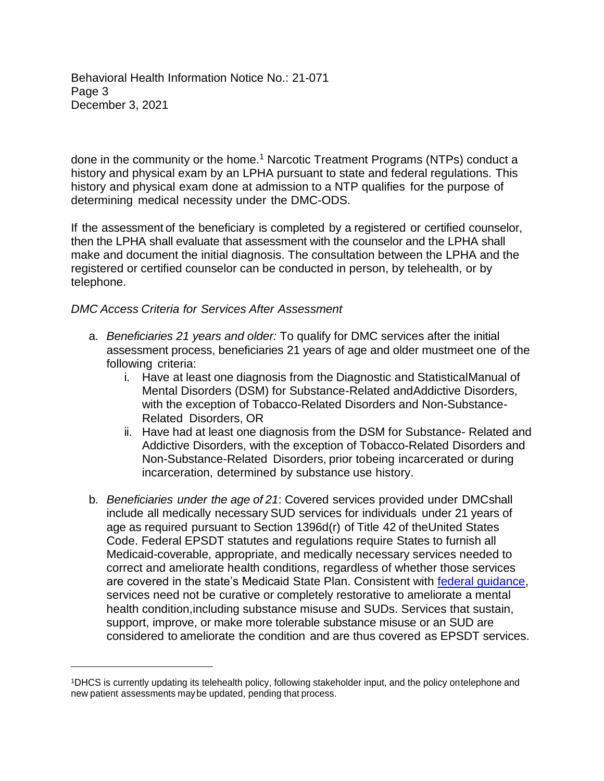Behavioral Health Information Notice No.: 21-071 Page 3 December 3, 2021

done in the community or the home.<sup>1</sup> Narcotic Treatment Programs (NTPs) conduct a history and physical exam by an LPHA pursuant to state and federal regulations. This history and physical exam done at admission to a NTP qualifies for the purpose of determining medical necessity under the DMC-ODS.

If the assessment of the beneficiary is completed by a registered or certified counselor, then the LPHA shall evaluate that assessment with the counselor and the LPHA shall make and document the initial diagnosis. The consultation between the LPHA and the registered or certified counselor can be conducted in person, by telehealth, or by telephone.

## *DMC Access Criteria for Services After Assessment*

- a. *Beneficiaries 21 years and older:* To qualify for DMC services after the initial assessment process, beneficiaries 21 years of age and older mustmeet one of the following criteria:
	- i. Have at least one diagnosis from the Diagnostic and StatisticalManual of Mental Disorders (DSM) for Substance-Related andAddictive Disorders, with the exception of Tobacco-Related Disorders and Non-Substance-Related Disorders, OR
	- ii. Have had at least one diagnosis from the DSM for Substance- Related and Addictive Disorders, with the exception of Tobacco-Related Disorders and Non-Substance-Related Disorders, prior tobeing incarcerated or during incarceration, determined by substance use history.
- b. *Beneficiaries under the age of 21*: Covered services provided under DMCshall include all medically necessary SUD services for individuals under 21 years of age as required pursuant to Section 1396d(r) of Title 42 of theUnited States Code. Federal EPSDT statutes and regulations require States to furnish all Medicaid-coverable, appropriate, and medically necessary services needed to correct and ameliorate health conditions, regardless of whether those services are covered in the state's Medicaid State Plan. Consistent with [federal guidance](https://www.medicaid.gov/sites/default/files/2019-12/epsdt_coverage_guide.pdf), services need not be curative or completely restorative to ameliorate a mental health condition,including substance misuse and SUDs. Services that sustain, support, improve, or make more tolerable substance misuse or an SUD are considered to ameliorate the condition and are thus covered as EPSDT services.

<sup>1</sup>DHCS is currently updating its telehealth policy, following stakeholder input, and the policy ontelephone and new patient assessments maybe updated, pending that process.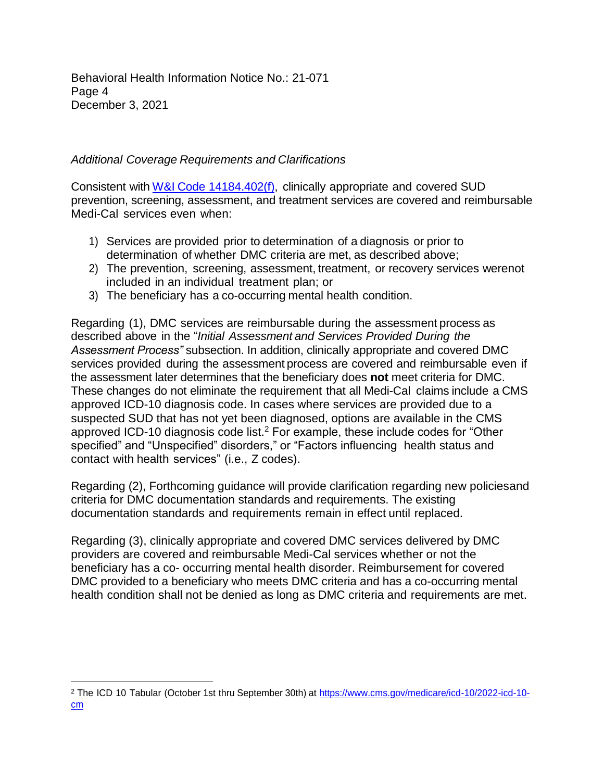Behavioral Health Information Notice No.: 21-071 Page 4 December 3, 2021

# *Additional Coverage Requirements and Clarifications*

Consistent with W&I Code [14184.402\(f\)](https://casetext.com/statute/california-codes/california-welfare-and-institutions-code/division-9-public-social-services/part-3-aid-and-medical-assistance/chapter-7-basic-health-care/article-551-california-advancing-and-innovating-medi-cal-act/section-14184402-medically-necessary-determinations-for-covered-specialty-mental-health-services-and-substance-use-disorder-services-nonspecialty-mental-health-services-coverage), clinically appropriate and covered SUD prevention, screening, assessment, and treatment services are covered and reimbursable Medi-Cal services even when:

- 1) Services are provided prior to determination of a diagnosis or prior to determination of whether DMC criteria are met, as described above;
- 2) The prevention, screening, assessment, treatment, or recovery services werenot included in an individual treatment plan; or
- 3) The beneficiary has a co-occurring mental health condition.

Regarding (1), DMC services are reimbursable during the assessment process as described above in the "*Initial Assessment and Services Provided During the Assessment Process"* subsection. In addition, clinically appropriate and covered DMC services provided during the assessment process are covered and reimbursable even if the assessment later determines that the beneficiary does **not** meet criteria for DMC. These changes do not eliminate the requirement that all Medi-Cal claims include a CMS approved ICD-10 diagnosis code. In cases where services are provided due to a suspected SUD that has not yet been diagnosed, options are available in the CMS approved ICD-10 diagnosis code list.<sup>2</sup> For example, these include codes for "Other specified" and "Unspecified" disorders," or "Factors influencing health status and contact with health services" (i.e., Z codes).

Regarding (2), Forthcoming guidance will provide clarification regarding new policiesand criteria for DMC documentation standards and requirements. The existing documentation standards and requirements remain in effect until replaced.

Regarding (3), clinically appropriate and covered DMC services delivered by DMC providers are covered and reimbursable Medi-Cal services whether or not the beneficiary has a co- occurring mental health disorder. Reimbursement for covered DMC provided to a beneficiary who meets DMC criteria and has a co-occurring mental health condition shall not be denied as long as DMC criteria and requirements are met.

<sup>2</sup> The ICD 10 Tabular (October 1st thru September 30th) at [https://www.cms.gov/medicare/icd-10/2022-icd-10](https://www.cms.gov/medicare/icd-10/2022-icd-10-cm) [cm](https://www.cms.gov/medicare/icd-10/2022-icd-10-cm)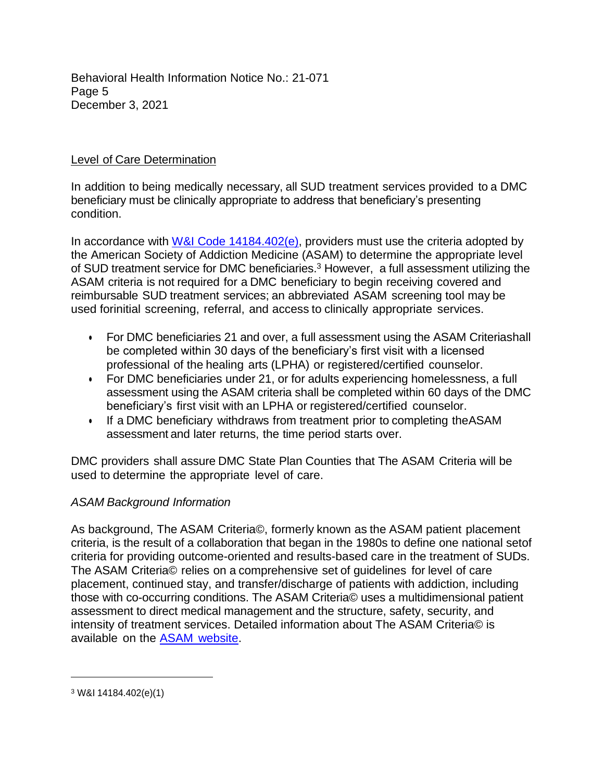Behavioral Health Information Notice No.: 21-071 Page 5 December 3, 2021

# Level of Care Determination

In addition to being medically necessary, all SUD treatment services provided to a DMC beneficiary must be clinically appropriate to address that beneficiary's presenting condition.

In accordance with W&I Code [14184.402\(e](https://casetext.com/statute/california-codes/california-welfare-and-institutions-code/division-9-public-social-services/part-3-aid-and-medical-assistance/chapter-7-basic-health-care/article-551-california-advancing-and-innovating-medi-cal-act/section-14184402-medically-necessary-determinations-for-covered-specialty-mental-health-services-and-substance-use-disorder-services-nonspecialty-mental-health-services-coverage)), providers must use the criteria adopted by the American Society of Addiction Medicine (ASAM) to determine the appropriate level of SUD treatment service for DMC beneficiaries.<sup>3</sup> However, a full assessment utilizing the ASAM criteria is not required for a DMC beneficiary to begin receiving covered and reimbursable SUD treatment services; an abbreviated ASAM screening tool may be used forinitial screening, referral, and access to clinically appropriate services.

- For DMC beneficiaries 21 and over, a full assessment using the ASAM Criteriashall be completed within 30 days of the beneficiary's first visit with a licensed professional of the healing arts (LPHA) or registered/certified counselor.
- For DMC beneficiaries under 21, or for adults experiencing homelessness, a full assessment using the ASAM criteria shall be completed within 60 days of the DMC beneficiary's first visit with an LPHA or registered/certified counselor.
- If a DMC beneficiary withdraws from treatment prior to completing theASAM assessment and later returns, the time period starts over.

DMC providers shall assure DMC State Plan Counties that The ASAM Criteria will be used to determine the appropriate level of care.

## *ASAM Background Information*

As background, The ASAM Criteria©, formerly known as the ASAM patient placement criteria, is the result of a collaboration that began in the 1980s to define one national setof criteria for providing outcome-oriented and results-based care in the treatment of SUDs. The ASAM Criteria© relies on a comprehensive set of guidelines for level of care placement, continued stay, and transfer/discharge of patients with addiction, including those with co-occurring conditions. The ASAM Criteria© uses a multidimensional patient assessment to direct medical management and the structure, safety, security, and intensity of treatment services. Detailed information about The ASAM Criteria© is available on the ASAM [website](https://www.asam.org/asam-criteria).

<sup>3</sup> W&I 14184.402(e)(1)